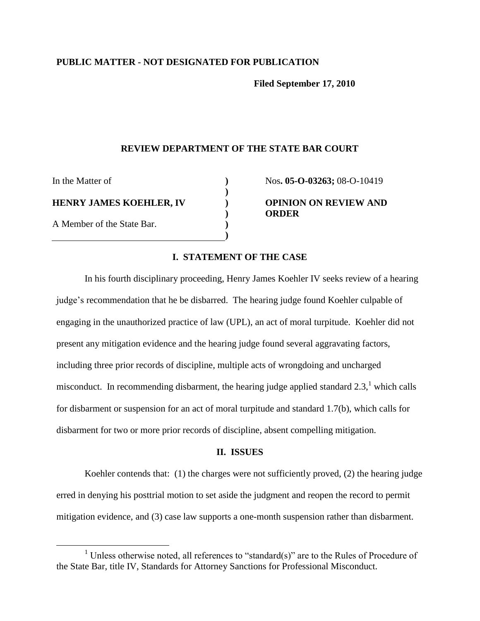## **PUBLIC MATTER - NOT DESIGNATED FOR PUBLICATION**

**Filed September 17, 2010**

## **REVIEW DEPARTMENT OF THE STATE BAR COURT**

**) ) ) ) ) )**

In the Matter of **HENRY JAMES KOEHLER, IV** A Member of the State Bar.

 $\overline{a}$ 

Nos**. 05-O-03263;** 08-O-10419 **OPINION ON REVIEW AND ORDER**

## **I. STATEMENT OF THE CASE**

In his fourth disciplinary proceeding, Henry James Koehler IV seeks review of a hearing judge's recommendation that he be disbarred. The hearing judge found Koehler culpable of engaging in the unauthorized practice of law (UPL), an act of moral turpitude. Koehler did not present any mitigation evidence and the hearing judge found several aggravating factors, including three prior records of discipline, multiple acts of wrongdoing and uncharged misconduct. In recommending disbarment, the hearing judge applied standard  $2.3$ ,<sup>1</sup> which calls for disbarment or suspension for an act of moral turpitude and standard 1.7(b), which calls for disbarment for two or more prior records of discipline, absent compelling mitigation.

#### **II. ISSUES**

Koehler contends that: (1) the charges were not sufficiently proved, (2) the hearing judge erred in denying his posttrial motion to set aside the judgment and reopen the record to permit mitigation evidence, and (3) case law supports a one-month suspension rather than disbarment.

<sup>&</sup>lt;sup>1</sup> Unless otherwise noted, all references to "standard(s)" are to the Rules of Procedure of the State Bar, title IV, Standards for Attorney Sanctions for Professional Misconduct.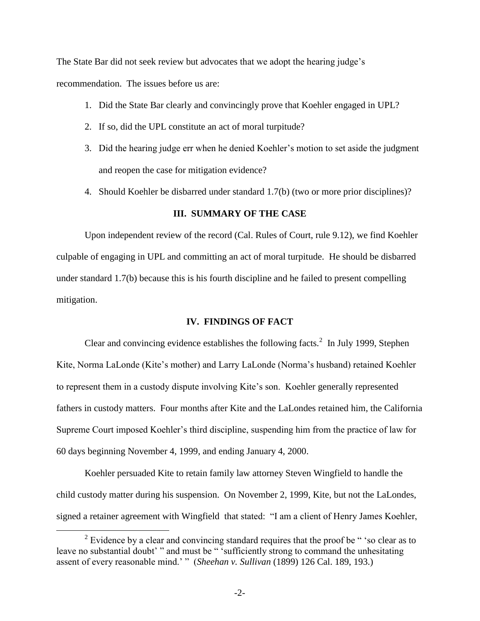The State Bar did not seek review but advocates that we adopt the hearing judge"s recommendation. The issues before us are:

- 1. Did the State Bar clearly and convincingly prove that Koehler engaged in UPL?
- 2. If so, did the UPL constitute an act of moral turpitude?
- 3. Did the hearing judge err when he denied Koehler"s motion to set aside the judgment and reopen the case for mitigation evidence?
- 4. Should Koehler be disbarred under standard 1.7(b) (two or more prior disciplines)?

## **III. SUMMARY OF THE CASE**

Upon independent review of the record (Cal. Rules of Court, rule 9.12), we find Koehler culpable of engaging in UPL and committing an act of moral turpitude. He should be disbarred under standard 1.7(b) because this is his fourth discipline and he failed to present compelling mitigation.

#### **IV. FINDINGS OF FACT**

Clear and convincing evidence establishes the following facts. $2 \text{ In July 1999}$ , Stephen Kite, Norma LaLonde (Kite's mother) and Larry LaLonde (Norma's husband) retained Koehler to represent them in a custody dispute involving Kite"s son. Koehler generally represented fathers in custody matters. Four months after Kite and the LaLondes retained him, the California Supreme Court imposed Koehler"s third discipline, suspending him from the practice of law for 60 days beginning November 4, 1999, and ending January 4, 2000.

Koehler persuaded Kite to retain family law attorney Steven Wingfield to handle the child custody matter during his suspension. On November 2, 1999, Kite, but not the LaLondes, signed a retainer agreement with Wingfield that stated: "I am a client of Henry James Koehler,

 $\overline{a}$ 

 $2^2$  Evidence by a clear and convincing standard requires that the proof be "so clear as to leave no substantial doubt'" and must be " 'sufficiently strong to command the unhesitating assent of every reasonable mind." " (*Sheehan v. Sullivan* (1899) 126 Cal. 189, 193.)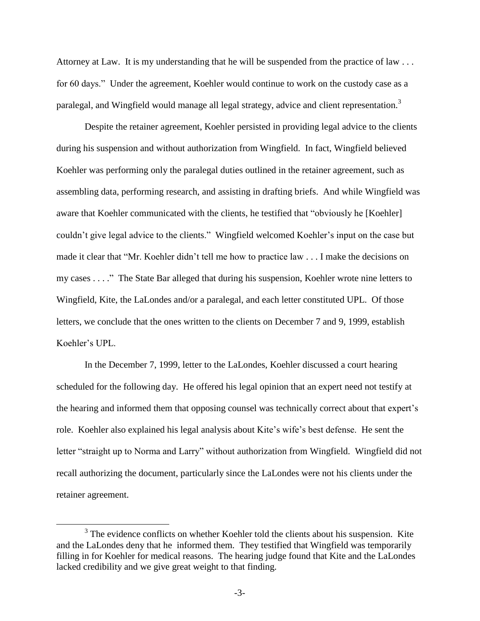Attorney at Law. It is my understanding that he will be suspended from the practice of law  $\dots$ for 60 days." Under the agreement, Koehler would continue to work on the custody case as a paralegal, and Wingfield would manage all legal strategy, advice and client representation.<sup>3</sup>

Despite the retainer agreement, Koehler persisted in providing legal advice to the clients during his suspension and without authorization from Wingfield. In fact, Wingfield believed Koehler was performing only the paralegal duties outlined in the retainer agreement, such as assembling data, performing research, and assisting in drafting briefs. And while Wingfield was aware that Koehler communicated with the clients, he testified that "obviously he [Koehler] couldn"t give legal advice to the clients." Wingfield welcomed Koehler"s input on the case but made it clear that "Mr. Koehler didn"t tell me how to practice law . . . I make the decisions on my cases . . . ." The State Bar alleged that during his suspension, Koehler wrote nine letters to Wingfield, Kite, the LaLondes and/or a paralegal, and each letter constituted UPL. Of those letters, we conclude that the ones written to the clients on December 7 and 9, 1999, establish Koehler"s UPL.

In the December 7, 1999, letter to the LaLondes, Koehler discussed a court hearing scheduled for the following day. He offered his legal opinion that an expert need not testify at the hearing and informed them that opposing counsel was technically correct about that expert"s role. Koehler also explained his legal analysis about Kite's wife's best defense. He sent the letter "straight up to Norma and Larry" without authorization from Wingfield. Wingfield did not recall authorizing the document, particularly since the LaLondes were not his clients under the retainer agreement.

 $\overline{a}$ 

 $3$  The evidence conflicts on whether Koehler told the clients about his suspension. Kite and the LaLondes deny that he informed them. They testified that Wingfield was temporarily filling in for Koehler for medical reasons. The hearing judge found that Kite and the LaLondes lacked credibility and we give great weight to that finding.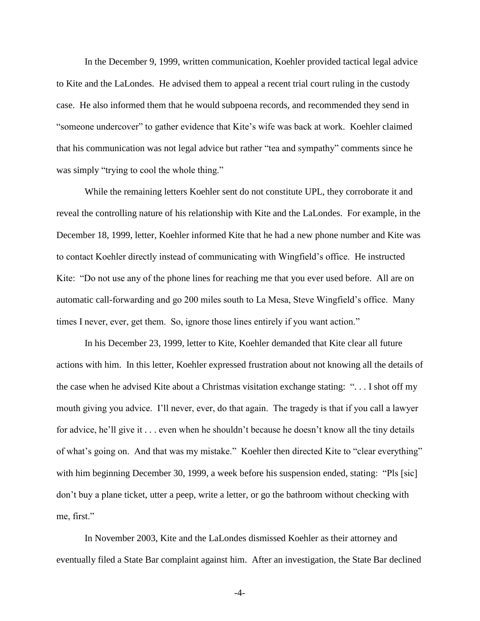In the December 9, 1999, written communication, Koehler provided tactical legal advice to Kite and the LaLondes. He advised them to appeal a recent trial court ruling in the custody case. He also informed them that he would subpoena records, and recommended they send in "someone undercover" to gather evidence that Kite"s wife was back at work. Koehler claimed that his communication was not legal advice but rather "tea and sympathy" comments since he was simply "trying to cool the whole thing."

While the remaining letters Koehler sent do not constitute UPL, they corroborate it and reveal the controlling nature of his relationship with Kite and the LaLondes. For example, in the December 18, 1999, letter, Koehler informed Kite that he had a new phone number and Kite was to contact Koehler directly instead of communicating with Wingfield"s office. He instructed Kite: "Do not use any of the phone lines for reaching me that you ever used before. All are on automatic call-forwarding and go 200 miles south to La Mesa, Steve Wingfield"s office. Many times I never, ever, get them. So, ignore those lines entirely if you want action."

In his December 23, 1999, letter to Kite, Koehler demanded that Kite clear all future actions with him. In this letter, Koehler expressed frustration about not knowing all the details of the case when he advised Kite about a Christmas visitation exchange stating: ". . . I shot off my mouth giving you advice. I"ll never, ever, do that again. The tragedy is that if you call a lawyer for advice, he'll give it . . . even when he shouldn't because he doesn't know all the tiny details of what's going on. And that was my mistake." Koehler then directed Kite to "clear everything" with him beginning December 30, 1999, a week before his suspension ended, stating: "Pls [sic] don"t buy a plane ticket, utter a peep, write a letter, or go the bathroom without checking with me, first."

In November 2003, Kite and the LaLondes dismissed Koehler as their attorney and eventually filed a State Bar complaint against him. After an investigation, the State Bar declined

-4-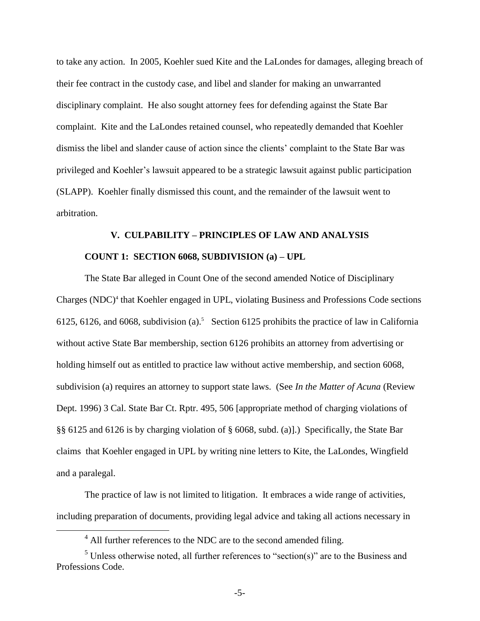to take any action. In 2005, Koehler sued Kite and the LaLondes for damages, alleging breach of their fee contract in the custody case, and libel and slander for making an unwarranted disciplinary complaint. He also sought attorney fees for defending against the State Bar complaint. Kite and the LaLondes retained counsel, who repeatedly demanded that Koehler dismiss the libel and slander cause of action since the clients" complaint to the State Bar was privileged and Koehler"s lawsuit appeared to be a strategic lawsuit against public participation (SLAPP). Koehler finally dismissed this count, and the remainder of the lawsuit went to arbitration.

# **V. CULPABILITY – PRINCIPLES OF LAW AND ANALYSIS COUNT 1: SECTION 6068, SUBDIVISION (a) – UPL**

The State Bar alleged in Count One of the second amended Notice of Disciplinary Charges (NDC)<sup>4</sup> that Koehler engaged in UPL, violating Business and Professions Code sections 6125, 6126, and 6068, subdivision (a).<sup>5</sup> Section 6125 prohibits the practice of law in California without active State Bar membership, section 6126 prohibits an attorney from advertising or holding himself out as entitled to practice law without active membership, and section 6068, subdivision (a) requires an attorney to support state laws. (See *In the Matter of Acuna* (Review Dept. 1996) 3 Cal. State Bar Ct. Rptr. 495, 506 [appropriate method of charging violations of §§ 6125 and 6126 is by charging violation of § 6068, subd. (a)].) Specifically, the State Bar claims that Koehler engaged in UPL by writing nine letters to Kite, the LaLondes, Wingfield and a paralegal.

The practice of law is not limited to litigation. It embraces a wide range of activities, including preparation of documents, providing legal advice and taking all actions necessary in

 $\overline{a}$ 

 $<sup>4</sup>$  All further references to the NDC are to the second amended filing.</sup>

 $<sup>5</sup>$  Unless otherwise noted, all further references to "section(s)" are to the Business and</sup> Professions Code.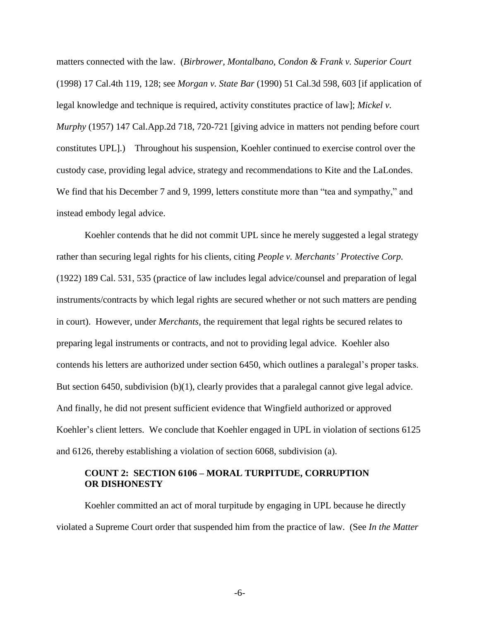matters connected with the law. (*Birbrower, Montalbano, Condon & Frank v. Superior Court* (1998) 17 Cal.4th 119, 128; see *Morgan v. State Bar* (1990) 51 Cal.3d 598, 603 [if application of legal knowledge and technique is required, activity constitutes practice of law]; *Mickel v. Murphy* (1957) 147 Cal.App.2d 718, 720-721 [giving advice in matters not pending before court constitutes UPL].) Throughout his suspension, Koehler continued to exercise control over the custody case, providing legal advice, strategy and recommendations to Kite and the LaLondes. We find that his December 7 and 9, 1999, letters constitute more than "tea and sympathy," and instead embody legal advice.

Koehler contends that he did not commit UPL since he merely suggested a legal strategy rather than securing legal rights for his clients, citing *People v. Merchants' Protective Corp.* (1922) 189 Cal. 531, 535 (practice of law includes legal advice/counsel and preparation of legal instruments/contracts by which legal rights are secured whether or not such matters are pending in court). However, under *Merchants,* the requirement that legal rights be secured relates to preparing legal instruments or contracts, and not to providing legal advice. Koehler also contends his letters are authorized under section 6450, which outlines a paralegal"s proper tasks. But section 6450, subdivision (b)(1), clearly provides that a paralegal cannot give legal advice. And finally, he did not present sufficient evidence that Wingfield authorized or approved Koehler's client letters. We conclude that Koehler engaged in UPL in violation of sections 6125 and 6126, thereby establishing a violation of section 6068, subdivision (a).

## **COUNT 2: SECTION 6106 – MORAL TURPITUDE, CORRUPTION OR DISHONESTY**

Koehler committed an act of moral turpitude by engaging in UPL because he directly violated a Supreme Court order that suspended him from the practice of law. (See *In the Matter*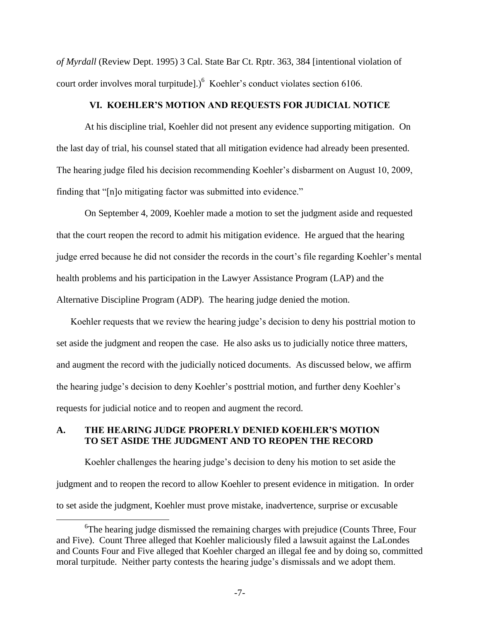*of Myrdall* (Review Dept. 1995) 3 Cal. State Bar Ct. Rptr. 363, 384 [intentional violation of court order involves moral turpitude].) $<sup>6</sup>$  Koehler's conduct violates section 6106.</sup>

## **VI. KOEHLER'S MOTION AND REQUESTS FOR JUDICIAL NOTICE**

At his discipline trial, Koehler did not present any evidence supporting mitigation. On the last day of trial, his counsel stated that all mitigation evidence had already been presented. The hearing judge filed his decision recommending Koehler"s disbarment on August 10, 2009, finding that "[n]o mitigating factor was submitted into evidence."

On September 4, 2009, Koehler made a motion to set the judgment aside and requested that the court reopen the record to admit his mitigation evidence. He argued that the hearing judge erred because he did not consider the records in the court"s file regarding Koehler"s mental health problems and his participation in the Lawyer Assistance Program (LAP) and the Alternative Discipline Program (ADP). The hearing judge denied the motion.

Koehler requests that we review the hearing judge's decision to deny his posttrial motion to set aside the judgment and reopen the case. He also asks us to judicially notice three matters, and augment the record with the judicially noticed documents. As discussed below, we affirm the hearing judge"s decision to deny Koehler"s posttrial motion, and further deny Koehler"s requests for judicial notice and to reopen and augment the record.

# **A. THE HEARING JUDGE PROPERLY DENIED KOEHLER'S MOTION TO SET ASIDE THE JUDGMENT AND TO REOPEN THE RECORD**

 $\overline{a}$ 

Koehler challenges the hearing judge"s decision to deny his motion to set aside the judgment and to reopen the record to allow Koehler to present evidence in mitigation. In order to set aside the judgment, Koehler must prove mistake, inadvertence, surprise or excusable

<sup>&</sup>lt;sup>6</sup>The hearing judge dismissed the remaining charges with prejudice (Counts Three, Four and Five). Count Three alleged that Koehler maliciously filed a lawsuit against the LaLondes and Counts Four and Five alleged that Koehler charged an illegal fee and by doing so, committed moral turpitude. Neither party contests the hearing judge"s dismissals and we adopt them.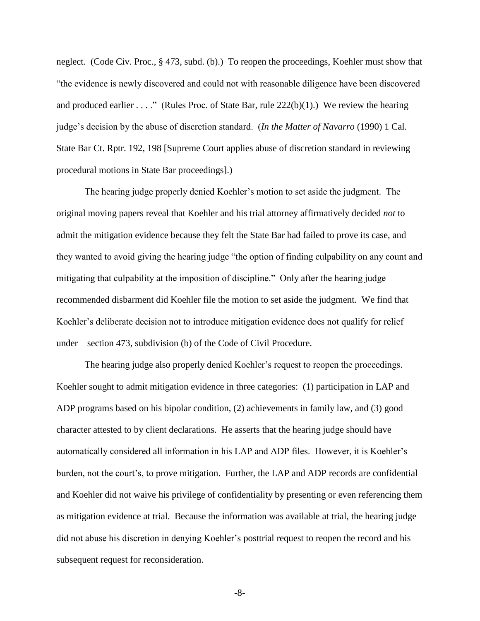neglect. (Code Civ. Proc., § 473, subd. (b).) To reopen the proceedings, Koehler must show that "the evidence is newly discovered and could not with reasonable diligence have been discovered and produced earlier . . . ." (Rules Proc. of State Bar, rule  $222(b)(1)$ .) We review the hearing judge"s decision by the abuse of discretion standard. (*In the Matter of Navarro* (1990) 1 Cal. State Bar Ct. Rptr. 192, 198 [Supreme Court applies abuse of discretion standard in reviewing procedural motions in State Bar proceedings].)

The hearing judge properly denied Koehler"s motion to set aside the judgment. The original moving papers reveal that Koehler and his trial attorney affirmatively decided *not* to admit the mitigation evidence because they felt the State Bar had failed to prove its case, and they wanted to avoid giving the hearing judge "the option of finding culpability on any count and mitigating that culpability at the imposition of discipline." Only after the hearing judge recommended disbarment did Koehler file the motion to set aside the judgment. We find that Koehler's deliberate decision not to introduce mitigation evidence does not qualify for relief under section 473, subdivision (b) of the Code of Civil Procedure.

The hearing judge also properly denied Koehler's request to reopen the proceedings. Koehler sought to admit mitigation evidence in three categories: (1) participation in LAP and ADP programs based on his bipolar condition, (2) achievements in family law, and (3) good character attested to by client declarations. He asserts that the hearing judge should have automatically considered all information in his LAP and ADP files. However, it is Koehler"s burden, not the court's, to prove mitigation. Further, the LAP and ADP records are confidential and Koehler did not waive his privilege of confidentiality by presenting or even referencing them as mitigation evidence at trial. Because the information was available at trial, the hearing judge did not abuse his discretion in denying Koehler"s posttrial request to reopen the record and his subsequent request for reconsideration.

-8-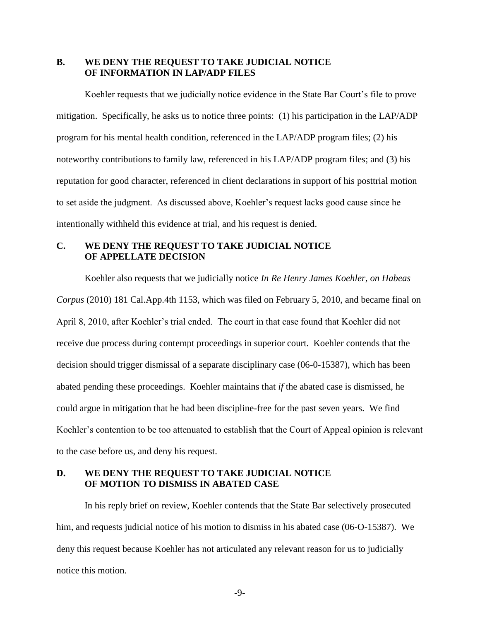# **B. WE DENY THE REQUEST TO TAKE JUDICIAL NOTICE OF INFORMATION IN LAP/ADP FILES**

Koehler requests that we judicially notice evidence in the State Bar Court"s file to prove mitigation. Specifically, he asks us to notice three points: (1) his participation in the LAP/ADP program for his mental health condition, referenced in the LAP/ADP program files; (2) his noteworthy contributions to family law, referenced in his LAP/ADP program files; and (3) his reputation for good character, referenced in client declarations in support of his posttrial motion to set aside the judgment. As discussed above, Koehler"s request lacks good cause since he intentionally withheld this evidence at trial, and his request is denied.

# **C. WE DENY THE REQUEST TO TAKE JUDICIAL NOTICE OF APPELLATE DECISION**

Koehler also requests that we judicially notice *In Re Henry James Koehler, on Habeas Corpus* (2010) 181 Cal.App.4th 1153, which was filed on February 5, 2010, and became final on April 8, 2010, after Koehler"s trial ended. The court in that case found that Koehler did not receive due process during contempt proceedings in superior court. Koehler contends that the decision should trigger dismissal of a separate disciplinary case (06-0-15387), which has been abated pending these proceedings. Koehler maintains that *if* the abated case is dismissed, he could argue in mitigation that he had been discipline-free for the past seven years. We find Koehler"s contention to be too attenuated to establish that the Court of Appeal opinion is relevant to the case before us, and deny his request.

# **D. WE DENY THE REQUEST TO TAKE JUDICIAL NOTICE OF MOTION TO DISMISS IN ABATED CASE**

In his reply brief on review, Koehler contends that the State Bar selectively prosecuted him, and requests judicial notice of his motion to dismiss in his abated case (06-O-15387). We deny this request because Koehler has not articulated any relevant reason for us to judicially notice this motion.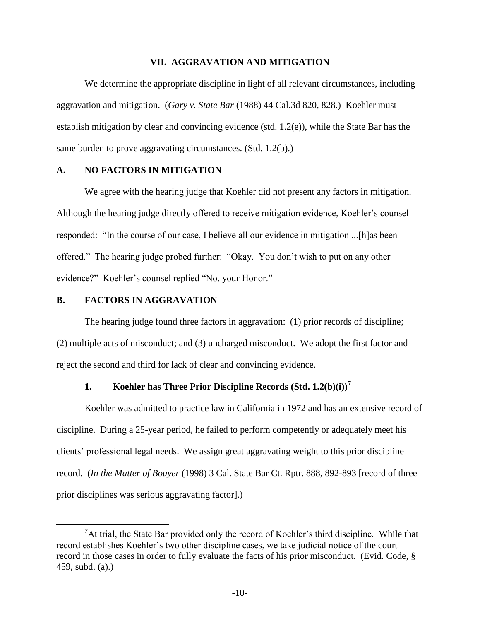## **VII. AGGRAVATION AND MITIGATION**

We determine the appropriate discipline in light of all relevant circumstances, including aggravation and mitigation. (*Gary v. State Bar* (1988) 44 Cal.3d 820, 828.) Koehler must establish mitigation by clear and convincing evidence (std.  $1.2(e)$ ), while the State Bar has the same burden to prove aggravating circumstances. (Std. 1.2(b).)

## **A. NO FACTORS IN MITIGATION**

We agree with the hearing judge that Koehler did not present any factors in mitigation. Although the hearing judge directly offered to receive mitigation evidence, Koehler"s counsel responded: "In the course of our case, I believe all our evidence in mitigation ...[h]as been offered." The hearing judge probed further: "Okay. You don"t wish to put on any other evidence?" Koehler's counsel replied "No, your Honor."

## **B. FACTORS IN AGGRAVATION**

 $\overline{a}$ 

The hearing judge found three factors in aggravation: (1) prior records of discipline; (2) multiple acts of misconduct; and (3) uncharged misconduct. We adopt the first factor and reject the second and third for lack of clear and convincing evidence.

# **1. Koehler has Three Prior Discipline Records (Std. 1.2(b)(i))<sup>7</sup>**

Koehler was admitted to practice law in California in 1972 and has an extensive record of discipline. During a 25-year period, he failed to perform competently or adequately meet his clients" professional legal needs. We assign great aggravating weight to this prior discipline record. (*In the Matter of Bouyer* (1998) 3 Cal. State Bar Ct. Rptr. 888, 892-893 [record of three prior disciplines was serious aggravating factor].)

 ${}^{7}$ At trial, the State Bar provided only the record of Koehler's third discipline. While that record establishes Koehler"s two other discipline cases, we take judicial notice of the court record in those cases in order to fully evaluate the facts of his prior misconduct. (Evid. Code, § 459, subd. (a).)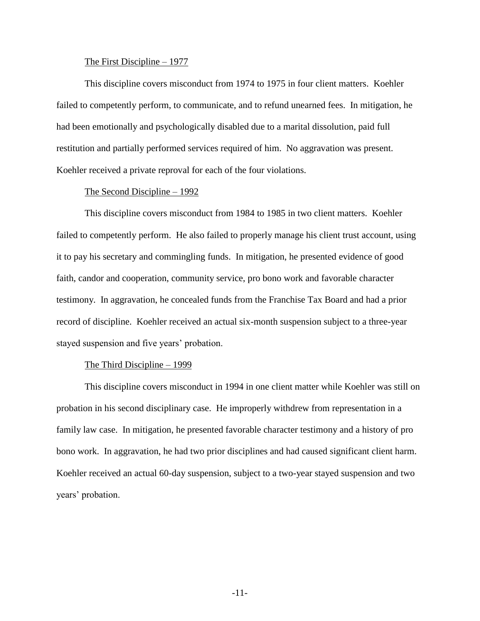#### The First Discipline – 1977

This discipline covers misconduct from 1974 to 1975 in four client matters. Koehler failed to competently perform, to communicate, and to refund unearned fees. In mitigation, he had been emotionally and psychologically disabled due to a marital dissolution, paid full restitution and partially performed services required of him. No aggravation was present. Koehler received a private reproval for each of the four violations.

#### The Second Discipline – 1992

This discipline covers misconduct from 1984 to 1985 in two client matters. Koehler failed to competently perform. He also failed to properly manage his client trust account, using it to pay his secretary and commingling funds. In mitigation, he presented evidence of good faith, candor and cooperation, community service, pro bono work and favorable character testimony. In aggravation, he concealed funds from the Franchise Tax Board and had a prior record of discipline. Koehler received an actual six-month suspension subject to a three-year stayed suspension and five years' probation.

#### The Third Discipline – 1999

This discipline covers misconduct in 1994 in one client matter while Koehler was still on probation in his second disciplinary case. He improperly withdrew from representation in a family law case. In mitigation, he presented favorable character testimony and a history of pro bono work. In aggravation, he had two prior disciplines and had caused significant client harm. Koehler received an actual 60-day suspension, subject to a two-year stayed suspension and two years" probation.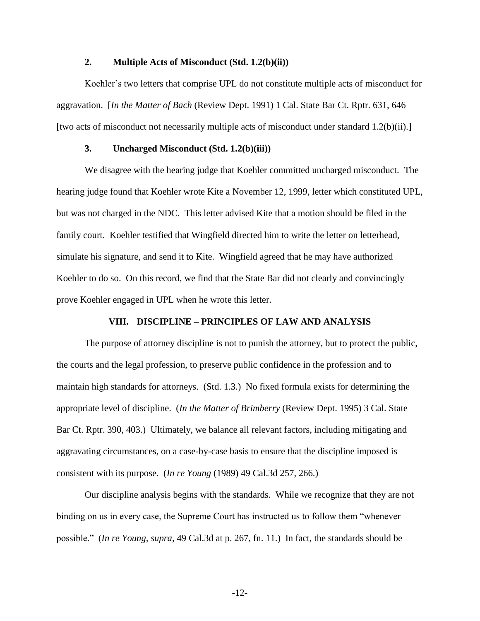## **2. Multiple Acts of Misconduct (Std. 1.2(b)(ii))**

Koehler"s two letters that comprise UPL do not constitute multiple acts of misconduct for aggravation. [*In the Matter of Bach* (Review Dept. 1991) 1 Cal. State Bar Ct. Rptr. 631, 646 [two acts of misconduct not necessarily multiple acts of misconduct under standard 1.2(b)(ii).]

## **3. Uncharged Misconduct (Std. 1.2(b)(iii))**

We disagree with the hearing judge that Koehler committed uncharged misconduct. The hearing judge found that Koehler wrote Kite a November 12, 1999, letter which constituted UPL, but was not charged in the NDC. This letter advised Kite that a motion should be filed in the family court. Koehler testified that Wingfield directed him to write the letter on letterhead, simulate his signature, and send it to Kite. Wingfield agreed that he may have authorized Koehler to do so. On this record, we find that the State Bar did not clearly and convincingly prove Koehler engaged in UPL when he wrote this letter.

#### **VIII. DISCIPLINE – PRINCIPLES OF LAW AND ANALYSIS**

The purpose of attorney discipline is not to punish the attorney, but to protect the public, the courts and the legal profession, to preserve public confidence in the profession and to maintain high standards for attorneys. (Std. 1.3.) No fixed formula exists for determining the appropriate level of discipline. (*In the Matter of Brimberry* (Review Dept. 1995) 3 Cal. State Bar Ct. Rptr. 390, 403.) Ultimately, we balance all relevant factors, including mitigating and aggravating circumstances, on a case-by-case basis to ensure that the discipline imposed is consistent with its purpose. (*In re Young* (1989) 49 Cal.3d 257, 266.)

Our discipline analysis begins with the standards. While we recognize that they are not binding on us in every case, the Supreme Court has instructed us to follow them "whenever possible." (*In re Young, supra,* 49 Cal.3d at p. 267, fn. 11.) In fact, the standards should be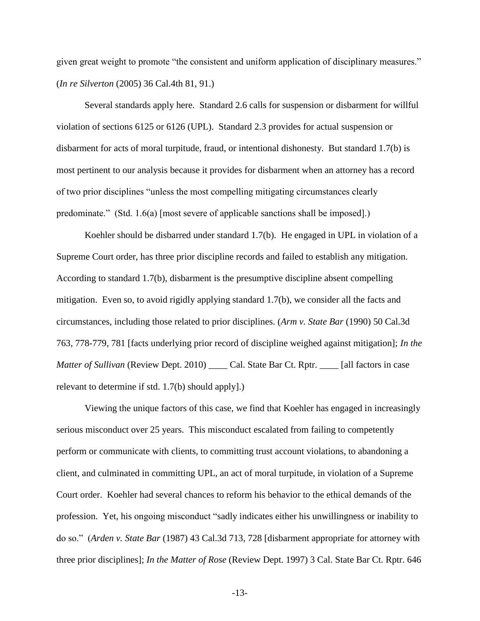given great weight to promote "the consistent and uniform application of disciplinary measures." (*In re Silverton* (2005) 36 Cal.4th 81, 91.)

Several standards apply here. Standard 2.6 calls for suspension or disbarment for willful violation of sections 6125 or 6126 (UPL). Standard 2.3 provides for actual suspension or disbarment for acts of moral turpitude, fraud, or intentional dishonesty. But standard 1.7(b) is most pertinent to our analysis because it provides for disbarment when an attorney has a record of two prior disciplines "unless the most compelling mitigating circumstances clearly predominate." (Std. 1.6(a) [most severe of applicable sanctions shall be imposed].)

Koehler should be disbarred under standard 1.7(b). He engaged in UPL in violation of a Supreme Court order, has three prior discipline records and failed to establish any mitigation. According to standard 1.7(b), disbarment is the presumptive discipline absent compelling mitigation. Even so, to avoid rigidly applying standard 1.7(b), we consider all the facts and circumstances, including those related to prior disciplines. (*Arm v. State Bar* (1990) 50 Cal.3d 763, 778-779, 781 [facts underlying prior record of discipline weighed against mitigation]; *In the Matter of Sullivan* (Review Dept. 2010) \_\_\_\_ Cal. State Bar Ct. Rptr. \_\_\_\_ [all factors in case relevant to determine if std. 1.7(b) should apply].)

Viewing the unique factors of this case, we find that Koehler has engaged in increasingly serious misconduct over 25 years. This misconduct escalated from failing to competently perform or communicate with clients, to committing trust account violations, to abandoning a client, and culminated in committing UPL, an act of moral turpitude, in violation of a Supreme Court order. Koehler had several chances to reform his behavior to the ethical demands of the profession. Yet, his ongoing misconduct "sadly indicates either his unwillingness or inability to do so." (*Arden v. State Bar* (1987) 43 Cal.3d 713, 728 [disbarment appropriate for attorney with three prior disciplines]; *In the Matter of Rose* (Review Dept. 1997) 3 Cal. State Bar Ct. Rptr. 646

-13-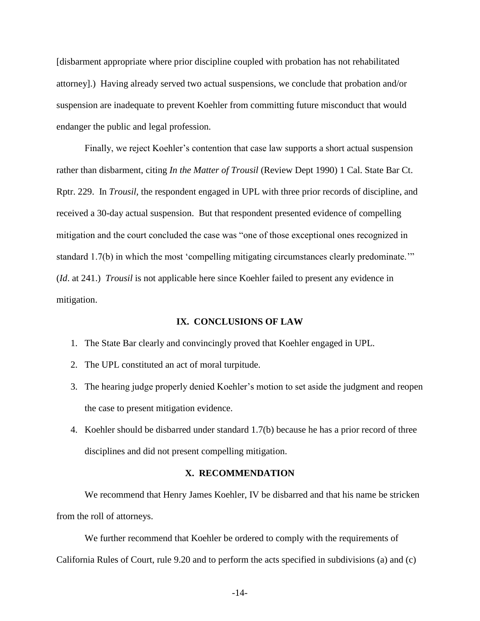[disbarment appropriate where prior discipline coupled with probation has not rehabilitated attorney].) Having already served two actual suspensions, we conclude that probation and/or suspension are inadequate to prevent Koehler from committing future misconduct that would endanger the public and legal profession.

Finally, we reject Koehler's contention that case law supports a short actual suspension rather than disbarment, citing *In the Matter of Trousil* (Review Dept 1990) 1 Cal. State Bar Ct. Rptr. 229. In *Trousil,* the respondent engaged in UPL with three prior records of discipline, and received a 30-day actual suspension. But that respondent presented evidence of compelling mitigation and the court concluded the case was "one of those exceptional ones recognized in standard 1.7(b) in which the most "compelling mitigating circumstances clearly predominate."" (*Id*. at 241.) *Trousil* is not applicable here since Koehler failed to present any evidence in mitigation.

#### **IX. CONCLUSIONS OF LAW**

- 1. The State Bar clearly and convincingly proved that Koehler engaged in UPL.
- 2. The UPL constituted an act of moral turpitude.
- 3. The hearing judge properly denied Koehler"s motion to set aside the judgment and reopen the case to present mitigation evidence.
- 4. Koehler should be disbarred under standard 1.7(b) because he has a prior record of three disciplines and did not present compelling mitigation.

#### **X. RECOMMENDATION**

We recommend that Henry James Koehler, IV be disbarred and that his name be stricken from the roll of attorneys.

We further recommend that Koehler be ordered to comply with the requirements of California Rules of Court, rule 9.20 and to perform the acts specified in subdivisions (a) and (c)